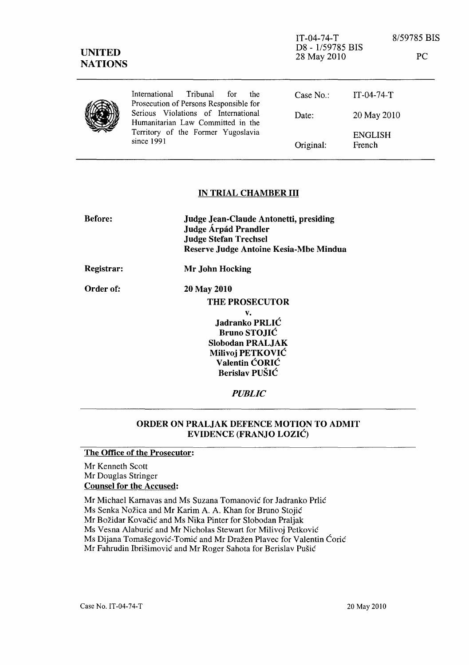| <b>UNITED</b><br><b>NATIONS</b> |                                                                                                                              | $IT-04-74-T$<br>D8 - 1/59785 BIS<br>28 May 2010 |                          | 8/59785 BIS<br>PC |
|---------------------------------|------------------------------------------------------------------------------------------------------------------------------|-------------------------------------------------|--------------------------|-------------------|
|                                 | International<br>Tribunal<br>for<br>the<br>Prosecution of Persons Responsible for                                            | Case $No.$ :                                    | $IT-04-74-T$             |                   |
|                                 | Serious Violations of International<br>Humanitarian Law Committed in the<br>Territory of the Former Yugoslavia<br>since 1991 | Date:                                           | 20 May 2010              |                   |
|                                 |                                                                                                                              | Original:                                       | <b>ENGLISH</b><br>French |                   |

## IN TRIAL CHAMBER **III**

| <b>Before:</b> | <b>Judge Jean-Claude Antonetti, presiding</b><br><b>Judge Árpád Prandler</b><br><b>Judge Stefan Trechsel</b><br>Reserve Judge Antoine Kesia-Mbe Mindua |
|----------------|--------------------------------------------------------------------------------------------------------------------------------------------------------|
| Registrar:     | Mr John Hocking                                                                                                                                        |
| Order of:      | 20 May 2010                                                                                                                                            |
|                | <b>THE PROSECUTOR</b>                                                                                                                                  |
|                | v.                                                                                                                                                     |
|                | Jadranko PRLIĆ                                                                                                                                         |
|                | <b>Bruno STOJIĆ</b>                                                                                                                                    |
|                | <b>Slobodan PRALJAK</b>                                                                                                                                |
|                | Milivoj PETKOVIĆ                                                                                                                                       |
|                | Valentin CORIC                                                                                                                                         |
|                | Berislav PUŠIĆ                                                                                                                                         |

*PUBLIC* 

## ORDER ON PRALJAK DEFENCE MOTION TO ADMIT EVIDENCE (FRANJO LOZIC)

The Office of the Prosecutor:

Mr Kenneth Scott Mr Douglas Stringer Counsel for the Accused:

Mr Michael Karnavas and Ms Suzana Tomanović for Jadranko Prlić

Ms Senka Nožica and Mr Karim A. A. Khan for Bruno Stojić

Mr Božidar Kovačić and Ms Nika Pinter for Slobodan Praljak

Ms Vesna Alaburic and Mr Nicholas Stewart for Milivoj Petkovic

Ms Dijana Tomašegović-Tomić and Mr Dražen Plavec for Valentin Ćorić

Mr Fahrudin Ibrišimović and Mr Roger Sahota for Berislav Pušić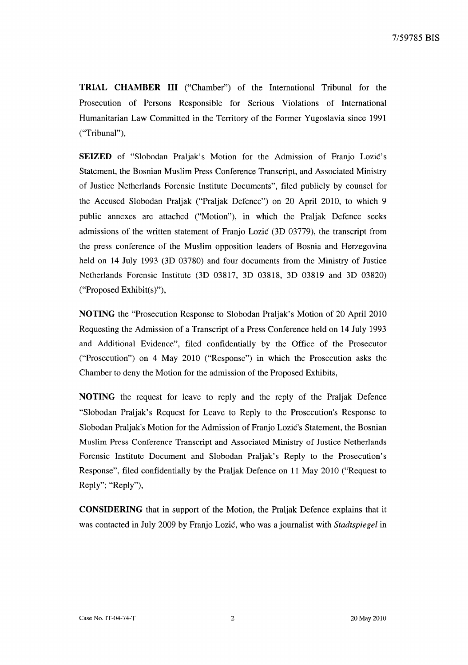**TRIAL CHAMBER III** ("Chamber") of the International Tribunal for the Prosecution of Persons Responsible for Serious Violations of International Humanitarian Law Committed in the Territory of the Former Yugoslavia since 1991 ("Tribunal"),

**SEIZED** of "Slobodan Praljak's Motion for the Admission of Franjo Lozic's Statement, the Bosnian Muslim Press Conference Transcript, and Associated Ministry of Justice Netherlands Forensic Institute Documents", filed publicly by counsel for the Accused Slobodan Praljak ("Praljak Defence") on 20 April 2010, to which 9 public annexes are attached ("Motion"), in which the Praljak Defence seeks admissions of the written statement of Franjo Lozic (3D 03779), the transcript from the press conference of the Muslim opposition leaders of Bosnia and Herzegovina held on 14 July 1993 (3D 03780) and four documents from the Ministry of Justice Netherlands Forensic Institute (3D 03817, 3D 03818, 3D 03819 and 3D 03820) ("Proposed Exhibit(s)"),

**NOTING** the "Prosecution Response to Slobodan Praljak's Motion of 20 April 2010 Requesting the Admission of a Transcript of a Press Conference held on 14 July 1993 and Additional Evidence", filed confidentially by the Office of the Prosecutor ("Prosecution") on 4 May 2010 ("Response") in which the Prosecution asks the Chamber to deny the Motion for the admission of the Proposed Exhibits,

**NOTING** the request for leave to reply and the reply of the Praljak Defence "Slobodan Praljak's Request for Leave to Reply to the Prosecution's Response to Slobodan Praljak's Motion for the Admission of Franjo Lozic's Statement, the Bosnian Muslim Press Conference Transcript and Associated Ministry of Justice Netherlands Forensic Institute Document and Slobodan Praljak's Reply to the Prosecution's Response", filed confidentially by the Praljak Defence on 11 May 2010 ("Request to Reply"; "Reply"),

**CONSIDERING** that in support of the Motion, the Praljak Defence explains that it was contacted in July 2009 by Franjo Lozic, who was a journalist with *Stadtspiegel* in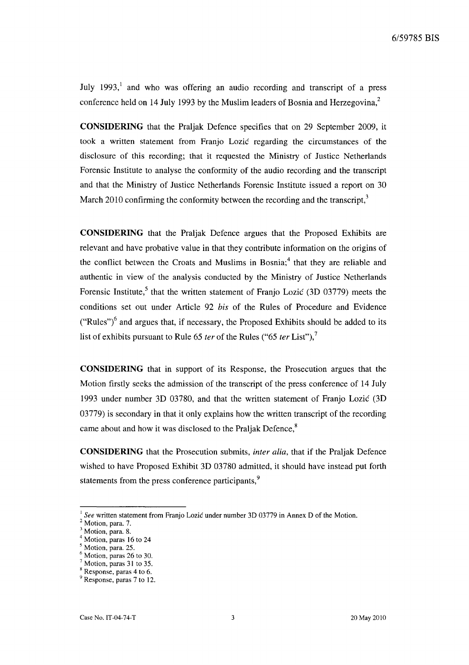July 1993,<sup>1</sup> and who was offering an audio recording and transcript of a press conference held on 14 July 1993 by the Muslim leaders of Bosnia and Herzegovina, $2$ 

**CONSIDERING** that the Praljak Defence specifies that on 29 September 2009, it took a written statement from Franjo Lozic regarding the circumstances of the disclosure of this recording; that it requested the Ministry of Justice Netherlands Forensic Institute to analyse the conformity of the audio recording and the transcript and that the Ministry of Justice Netherlands Forensic Institute issued a report on 30 March 2010 confirming the conformity between the recording and the transcript.<sup>3</sup>

**CONSIDERING** that the Praljak Defence argues that the Proposed Exhibits are relevant and have probative value in that they contribute information on the origins of the conflict between the Croats and Muslims in Bosnia; $4$  that they are reliable and authentic in view of the analysis conducted by the Ministry of Justice Netherlands Forensic Institute,<sup>5</sup> that the written statement of Franjo Lozic (3D 03779) meets the conditions set out under Article 92 *his* of the Rules of Procedure and Evidence ("Rules")<sup>6</sup> and argues that, if necessary, the Proposed Exhibits should be added to its list of exhibits pursuant to Rule 65 ter of the Rules ("65 ter List"),<sup>7</sup>

**CONSIDERING** that in support of its Response, the Prosecution argues that the Motion firstly seeks the admission of the transcript of the press conference of 14 July 1993 under number 3D 03780, and that the written statement of Franjo Lozic (3D 03779) is secondary in that it only explains how the written transcript of the recording came about and how it was disclosed to the Praljak Defence,<sup>8</sup>

**CONSIDERING** that the Prosecution submits, inter alia, that if the Praljak Defence wished to have Proposed Exhibit 3D 03780 admitted, it should have instead put forth statements from the press conference participants,<sup>9</sup>

<sup>1</sup>*See* written statement from Franjo Lozic under number 3D 03779 in Annex D of the Motion.

Motion, para. 7.

Motion, para. 8.

<sup>4</sup> Motion, paras 16 to 24

Motion, para. 25.

Motion, paras 26 to 30.

Motion, paras 31 to 35.

Response, paras 4 to 6.

<sup>&</sup>lt;sup>9</sup> Response, paras 7 to 12.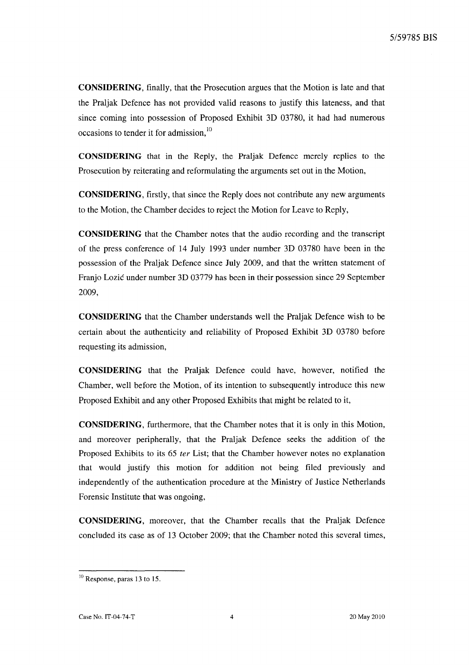**CONSIDERING,** finally, that the Prosecution argues that the Motion is late and that the Praljak Defence has not provided valid reasons to justify this lateness, and that since coming into possession of Proposed Exhibit 3D 03780, it had had numerous occasions to tender it for admission.<sup>10</sup>

**CONSIDERING** that in the Reply, the Praljak Defence merely replies to the Prosecution by reiterating and reformulating the arguments set out in the Motion,

**CONSIDERING,** firstly, that since the Reply does not contribute any new arguments to the Motion, the Chamber decides to reject the Motion for Leave to Reply,

**CONSIDERING** that the Chamber notes that the audio recording and the transcript of the press conference of 14 July 1993 under number 3D 03780 have been in the possession of the Praljak Defence since July 2009, and that the written statement of Franjo Lozic under number 3D 03779 has been in their possession since 29 September 2009,

**CONSIDERING** that the Chamber understands well the Praljak Defence wish to be certain about the authenticity and reliability of Proposed Exhibit 3D 03780 before requesting its admission,

**CONSIDERING** that the Praljak Defence could have, however, notified the Chamber, well before the Motion, of its intention to subsequently introduce this new Proposed Exhibit and any other Proposed Exhibits that might be related to it,

**CONSIDERING,** furthermore, that the Chamber notes that it is only in this Motion, and moreover peripherally, that the Praljak Defence seeks the addition of the Proposed Exhibits to its 65 *ter* List; that the Chamber however notes no explanation that would justify this motion for addition not being filed previously and independently of the authentication procedure at the Ministry of Justice Netherlands Forensic Institute that was ongoing,

**CONSIDERING,** moreover, that the Chamber recalls that the Praljak Defence concluded its case as of 13 October 2009; that the Chamber noted this several times,

 $10$  Response, paras 13 to 15.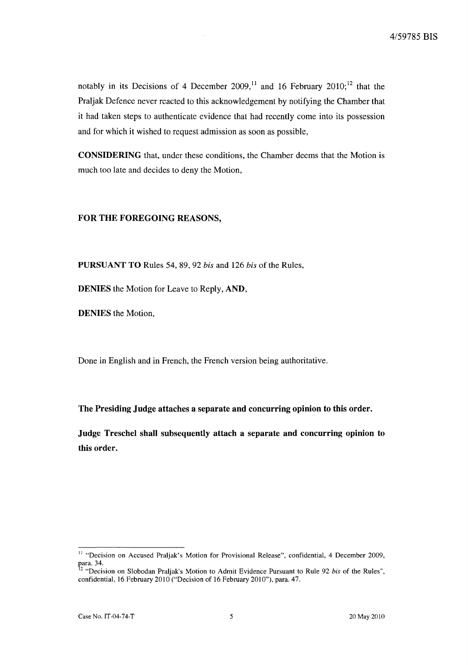notably in its Decisions of 4 December 2009,<sup>11</sup> and 16 February 2010;<sup>12</sup> that the Praljak Defence never reacted to this acknowledgement by notifying the Chamber that it had taken steps to authenticate evidence that had recently come into its possession and for which it wished to request admission as soon as possible,

CONSIDERING that, under these conditions, the Chamber deems that the Motion is much too late and decides to deny the Motion,

## FOR THE FOREGOING REASONS,

PURSUANT TO Rules 54, 89,92 *his* and 126 *his* of the Rules,

DENIES the Motion for Leave to Reply, AND,

DENIES the Motion,

Done in English and in French, the French version being authoritative.

The Presiding Judge attaches a separate and concurring opinion to this order.

Judge Treschel shall subsequently attach a separate and concurring opinion to this order.

<sup>&</sup>lt;sup>11</sup> "Decision on Accused Praljak's Motion for Provisional Release", confidential, 4 December 2009, para. 34.

<sup>2 &</sup>quot;Decision on Slobodan Praljak's Motion to Admit Evidence Pursuant to Rule 92 *his* of the Rules", confidential, 16 February 2010 ("Decision of 16 February 2010"), para. 47.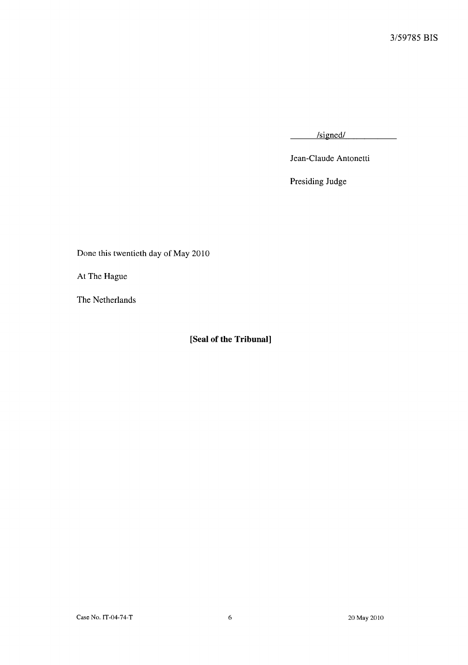/signed/

Jean-Claude Antonetti

Presiding Judge

Done this twentieth day of May 2010

At The Hague

The Netherlands

**[Seal of the Tribunal]**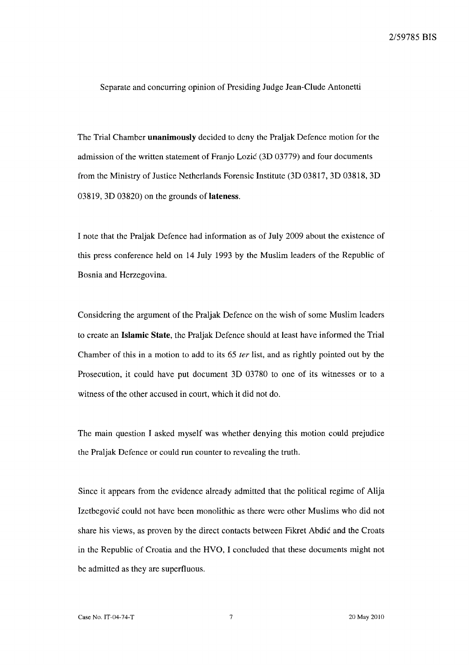Separate and concurring opinion of Presiding Judge Jean-Clude Antonetti

The Trial Chamber **unanimously** decided to deny the Praljak Defence motion for the admission of the written statement of Franjo Lozic (3D 03779) and four documents from the Ministry of Justice Netherlands Forensic Institute (3D 03817, 3D 03818, 3D 03819, 3D 03820) on the grounds of lateness.

I note that the Praljak Defence had information as of July 2009 about the existence of this press conference held on 14 July 1993 by the Muslim leaders of the Republic of Bosnia and Herzegovina.

Considering the argument of the Praljak Defence on the wish of some Muslim leaders to create an **Islamic** State, the Praljak Defence should at least have informed the Trial Chamber of this in a motion to add to its 65 fer list, and as rightly pointed out by the Prosecution, it could have put document 3D 03780 to one of its witnesses or to a witness of the other accused in court, which it did not do.

The main question I asked myself was whether denying this motion could prejudice the Praljak Defence or could run counter to revealing the truth.

Since it appears from the evidence already admitted that the political regime of Alija Izetbegovic could not have been monolithic as there were other Muslims who did not share his views, as proven by the direct contacts between Fikret Abdic and the Croats in the Republic of Croatia and the HVO, I concluded that these documents might not be admitted as they are superfluous.